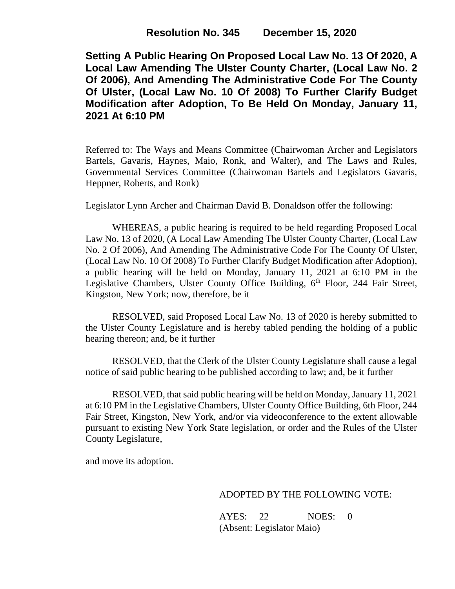**Setting A Public Hearing On Proposed Local Law No. 13 Of 2020, A Local Law Amending The Ulster County Charter, (Local Law No. 2 Of 2006), And Amending The Administrative Code For The County Of Ulster, (Local Law No. 10 Of 2008) To Further Clarify Budget Modification after Adoption, To Be Held On Monday, January 11, 2021 At 6:10 PM**

Referred to: The Ways and Means Committee (Chairwoman Archer and Legislators Bartels, Gavaris, Haynes, Maio, Ronk, and Walter), and The Laws and Rules, Governmental Services Committee (Chairwoman Bartels and Legislators Gavaris, Heppner, Roberts, and Ronk)

Legislator Lynn Archer and Chairman David B. Donaldson offer the following:

WHEREAS, a public hearing is required to be held regarding Proposed Local Law No. 13 of 2020, (A Local Law Amending The Ulster County Charter, (Local Law No. 2 Of 2006), And Amending The Administrative Code For The County Of Ulster, (Local Law No. 10 Of 2008) To Further Clarify Budget Modification after Adoption), a public hearing will be held on Monday, January 11, 2021 at 6:10 PM in the Legislative Chambers, Ulster County Office Building, 6<sup>th</sup> Floor, 244 Fair Street, Kingston, New York; now, therefore, be it

RESOLVED, said Proposed Local Law No. 13 of 2020 is hereby submitted to the Ulster County Legislature and is hereby tabled pending the holding of a public hearing thereon; and, be it further

RESOLVED, that the Clerk of the Ulster County Legislature shall cause a legal notice of said public hearing to be published according to law; and, be it further

RESOLVED, that said public hearing will be held on Monday, January 11, 2021 at 6:10 PM in the Legislative Chambers, Ulster County Office Building, 6th Floor, 244 Fair Street, Kingston, New York, and/or via videoconference to the extent allowable pursuant to existing New York State legislation, or order and the Rules of the Ulster County Legislature,

and move its adoption.

## ADOPTED BY THE FOLLOWING VOTE:

AYES: 22 NOES: 0 (Absent: Legislator Maio)